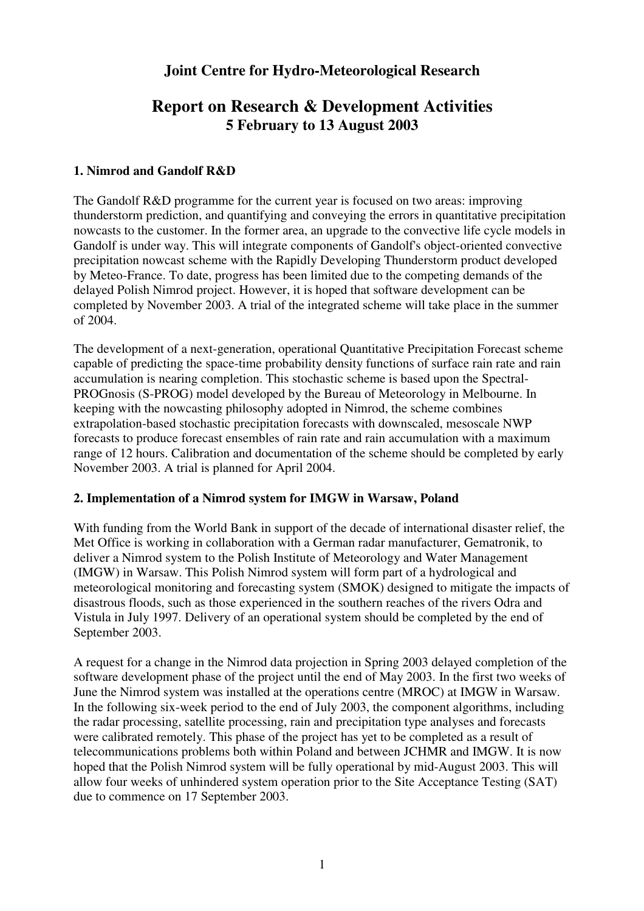# **Joint Centre for Hydro-Meteorological Research**

# **Report on Research & Development Activities 5 February to 13 August 2003**

## **1. Nimrod and Gandolf R&D**

The Gandolf R&D programme for the current year is focused on two areas: improving thunderstorm prediction, and quantifying and conveying the errors in quantitative precipitation nowcasts to the customer. In the former area, an upgrade to the convective life cycle models in Gandolf is under way. This will integrate components of Gandolf's object-oriented convective precipitation nowcast scheme with the Rapidly Developing Thunderstorm product developed by Meteo-France. To date, progress has been limited due to the competing demands of the delayed Polish Nimrod project. However, it is hoped that software development can be completed by November 2003. A trial of the integrated scheme will take place in the summer of 2004.

The development of a next-generation, operational Quantitative Precipitation Forecast scheme capable of predicting the space-time probability density functions of surface rain rate and rain accumulation is nearing completion. This stochastic scheme is based upon the Spectral-PROGnosis (S-PROG) model developed by the Bureau of Meteorology in Melbourne. In keeping with the nowcasting philosophy adopted in Nimrod, the scheme combines extrapolation-based stochastic precipitation forecasts with downscaled, mesoscale NWP forecasts to produce forecast ensembles of rain rate and rain accumulation with a maximum range of 12 hours. Calibration and documentation of the scheme should be completed by early November 2003. A trial is planned for April 2004.

### **2. Implementation of a Nimrod system for IMGW in Warsaw, Poland**

With funding from the World Bank in support of the decade of international disaster relief, the Met Office is working in collaboration with a German radar manufacturer, Gematronik, to deliver a Nimrod system to the Polish Institute of Meteorology and Water Management (IMGW) in Warsaw. This Polish Nimrod system will form part of a hydrological and meteorological monitoring and forecasting system (SMOK) designed to mitigate the impacts of disastrous floods, such as those experienced in the southern reaches of the rivers Odra and Vistula in July 1997. Delivery of an operational system should be completed by the end of September 2003.

A request for a change in the Nimrod data projection in Spring 2003 delayed completion of the software development phase of the project until the end of May 2003. In the first two weeks of June the Nimrod system was installed at the operations centre (MROC) at IMGW in Warsaw. In the following six-week period to the end of July 2003, the component algorithms, including the radar processing, satellite processing, rain and precipitation type analyses and forecasts were calibrated remotely. This phase of the project has yet to be completed as a result of telecommunications problems both within Poland and between JCHMR and IMGW. It is now hoped that the Polish Nimrod system will be fully operational by mid-August 2003. This will allow four weeks of unhindered system operation prior to the Site Acceptance Testing (SAT) due to commence on 17 September 2003.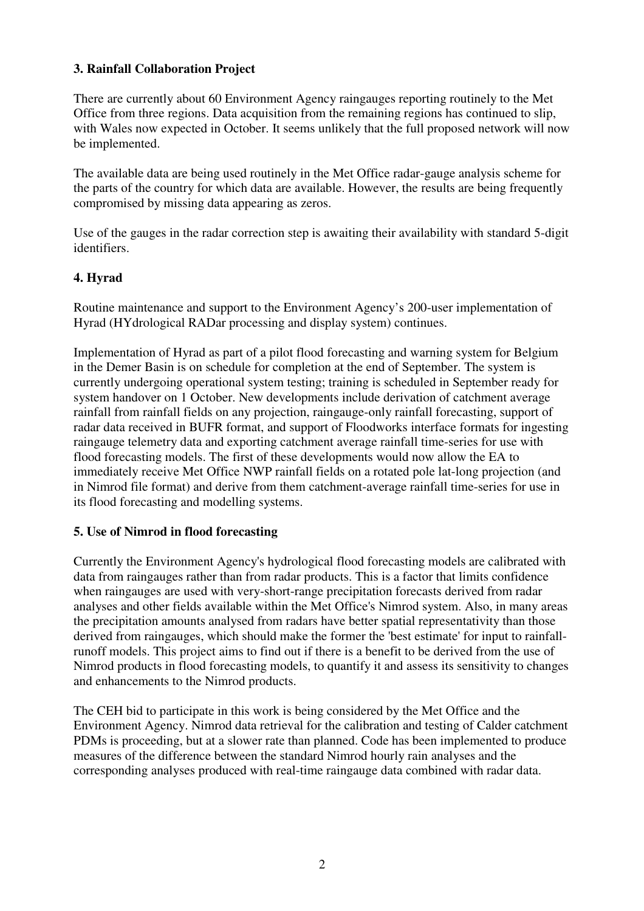## **3. Rainfall Collaboration Project**

There are currently about 60 Environment Agency raingauges reporting routinely to the Met Office from three regions. Data acquisition from the remaining regions has continued to slip, with Wales now expected in October. It seems unlikely that the full proposed network will now be implemented.

The available data are being used routinely in the Met Office radar-gauge analysis scheme for the parts of the country for which data are available. However, the results are being frequently compromised by missing data appearing as zeros.

Use of the gauges in the radar correction step is awaiting their availability with standard 5-digit identifiers.

## **4. Hyrad**

Routine maintenance and support to the Environment Agency's 200-user implementation of Hyrad (HYdrological RADar processing and display system) continues.

Implementation of Hyrad as part of a pilot flood forecasting and warning system for Belgium in the Demer Basin is on schedule for completion at the end of September. The system is currently undergoing operational system testing; training is scheduled in September ready for system handover on 1 October. New developments include derivation of catchment average rainfall from rainfall fields on any projection, raingauge-only rainfall forecasting, support of radar data received in BUFR format, and support of Floodworks interface formats for ingesting raingauge telemetry data and exporting catchment average rainfall time-series for use with flood forecasting models. The first of these developments would now allow the EA to immediately receive Met Office NWP rainfall fields on a rotated pole lat-long projection (and in Nimrod file format) and derive from them catchment-average rainfall time-series for use in its flood forecasting and modelling systems.

### **5. Use of Nimrod in flood forecasting**

Currently the Environment Agency's hydrological flood forecasting models are calibrated with data from raingauges rather than from radar products. This is a factor that limits confidence when raingauges are used with very-short-range precipitation forecasts derived from radar analyses and other fields available within the Met Office's Nimrod system. Also, in many areas the precipitation amounts analysed from radars have better spatial representativity than those derived from raingauges, which should make the former the 'best estimate' for input to rainfallrunoff models. This project aims to find out if there is a benefit to be derived from the use of Nimrod products in flood forecasting models, to quantify it and assess its sensitivity to changes and enhancements to the Nimrod products.

The CEH bid to participate in this work is being considered by the Met Office and the Environment Agency. Nimrod data retrieval for the calibration and testing of Calder catchment PDMs is proceeding, but at a slower rate than planned. Code has been implemented to produce measures of the difference between the standard Nimrod hourly rain analyses and the corresponding analyses produced with real-time raingauge data combined with radar data.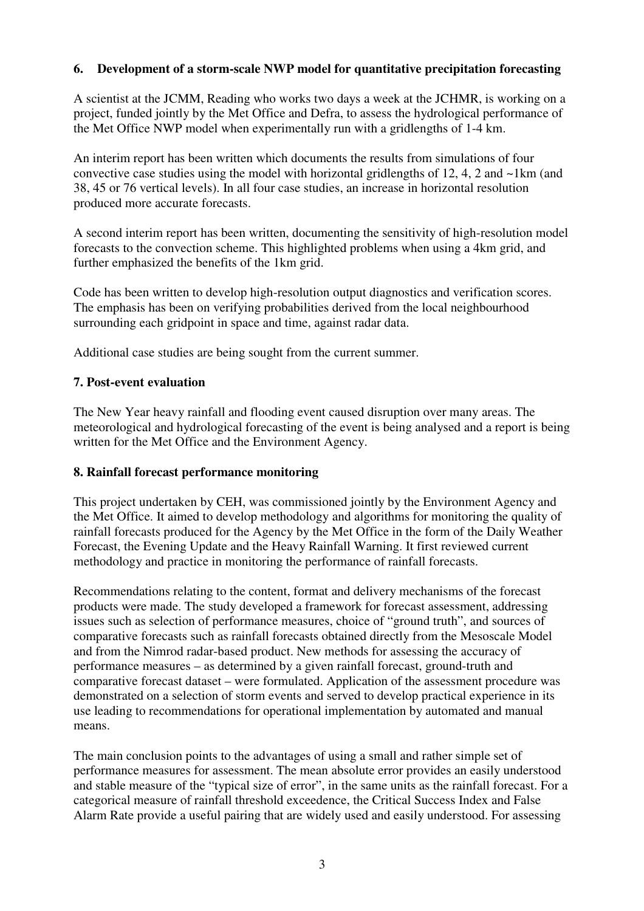## **6. Development of a storm-scale NWP model for quantitative precipitation forecasting**

A scientist at the JCMM, Reading who works two days a week at the JCHMR, is working on a project, funded jointly by the Met Office and Defra, to assess the hydrological performance of the Met Office NWP model when experimentally run with a gridlengths of 1-4 km.

An interim report has been written which documents the results from simulations of four convective case studies using the model with horizontal gridlengths of 12, 4, 2 and ~1km (and 38, 45 or 76 vertical levels). In all four case studies, an increase in horizontal resolution produced more accurate forecasts.

A second interim report has been written, documenting the sensitivity of high-resolution model forecasts to the convection scheme. This highlighted problems when using a 4km grid, and further emphasized the benefits of the 1km grid.

Code has been written to develop high-resolution output diagnostics and verification scores. The emphasis has been on verifying probabilities derived from the local neighbourhood surrounding each gridpoint in space and time, against radar data.

Additional case studies are being sought from the current summer.

#### **7. Post-event evaluation**

The New Year heavy rainfall and flooding event caused disruption over many areas. The meteorological and hydrological forecasting of the event is being analysed and a report is being written for the Met Office and the Environment Agency.

#### **8. Rainfall forecast performance monitoring**

This project undertaken by CEH, was commissioned jointly by the Environment Agency and the Met Office. It aimed to develop methodology and algorithms for monitoring the quality of rainfall forecasts produced for the Agency by the Met Office in the form of the Daily Weather Forecast, the Evening Update and the Heavy Rainfall Warning. It first reviewed current methodology and practice in monitoring the performance of rainfall forecasts.

Recommendations relating to the content, format and delivery mechanisms of the forecast products were made. The study developed a framework for forecast assessment, addressing issues such as selection of performance measures, choice of "ground truth", and sources of comparative forecasts such as rainfall forecasts obtained directly from the Mesoscale Model and from the Nimrod radar-based product. New methods for assessing the accuracy of performance measures – as determined by a given rainfall forecast, ground-truth and comparative forecast dataset – were formulated. Application of the assessment procedure was demonstrated on a selection of storm events and served to develop practical experience in its use leading to recommendations for operational implementation by automated and manual means.

The main conclusion points to the advantages of using a small and rather simple set of performance measures for assessment. The mean absolute error provides an easily understood and stable measure of the "typical size of error", in the same units as the rainfall forecast. For a categorical measure of rainfall threshold exceedence, the Critical Success Index and False Alarm Rate provide a useful pairing that are widely used and easily understood. For assessing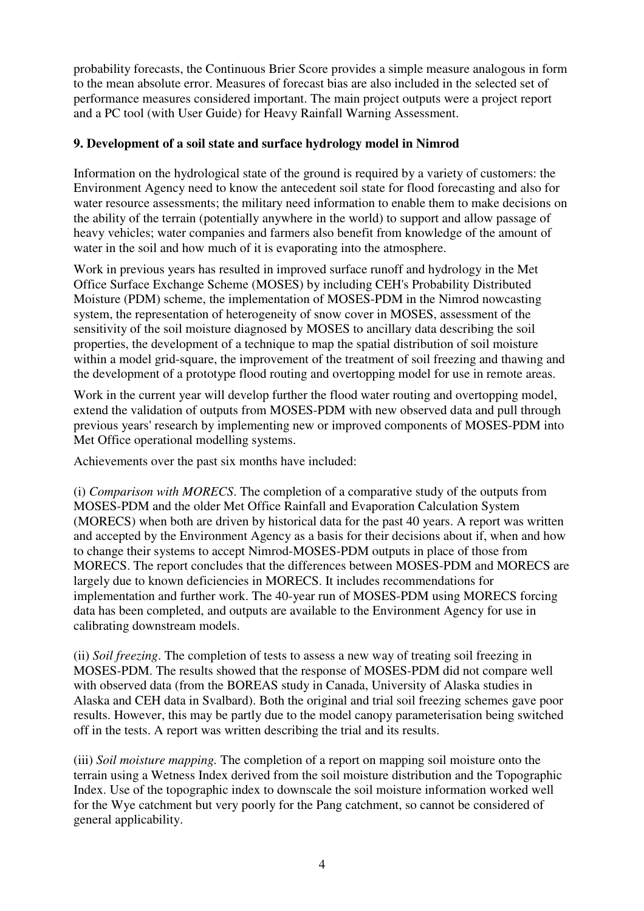probability forecasts, the Continuous Brier Score provides a simple measure analogous in form to the mean absolute error. Measures of forecast bias are also included in the selected set of performance measures considered important. The main project outputs were a project report and a PC tool (with User Guide) for Heavy Rainfall Warning Assessment.

## **9. Development of a soil state and surface hydrology model in Nimrod**

Information on the hydrological state of the ground is required by a variety of customers: the Environment Agency need to know the antecedent soil state for flood forecasting and also for water resource assessments; the military need information to enable them to make decisions on the ability of the terrain (potentially anywhere in the world) to support and allow passage of heavy vehicles; water companies and farmers also benefit from knowledge of the amount of water in the soil and how much of it is evaporating into the atmosphere.

Work in previous years has resulted in improved surface runoff and hydrology in the Met Office Surface Exchange Scheme (MOSES) by including CEH's Probability Distributed Moisture (PDM) scheme, the implementation of MOSES-PDM in the Nimrod nowcasting system, the representation of heterogeneity of snow cover in MOSES, assessment of the sensitivity of the soil moisture diagnosed by MOSES to ancillary data describing the soil properties, the development of a technique to map the spatial distribution of soil moisture within a model grid-square, the improvement of the treatment of soil freezing and thawing and the development of a prototype flood routing and overtopping model for use in remote areas.

Work in the current year will develop further the flood water routing and overtopping model, extend the validation of outputs from MOSES-PDM with new observed data and pull through previous years' research by implementing new or improved components of MOSES-PDM into Met Office operational modelling systems.

Achievements over the past six months have included:

(i) *Comparison with MORECS*. The completion of a comparative study of the outputs from MOSES-PDM and the older Met Office Rainfall and Evaporation Calculation System (MORECS) when both are driven by historical data for the past 40 years. A report was written and accepted by the Environment Agency as a basis for their decisions about if, when and how to change their systems to accept Nimrod-MOSES-PDM outputs in place of those from MORECS. The report concludes that the differences between MOSES-PDM and MORECS are largely due to known deficiencies in MORECS. It includes recommendations for implementation and further work. The 40-year run of MOSES-PDM using MORECS forcing data has been completed, and outputs are available to the Environment Agency for use in calibrating downstream models.

(ii) *Soil freezing*. The completion of tests to assess a new way of treating soil freezing in MOSES-PDM. The results showed that the response of MOSES-PDM did not compare well with observed data (from the BOREAS study in Canada, University of Alaska studies in Alaska and CEH data in Svalbard). Both the original and trial soil freezing schemes gave poor results. However, this may be partly due to the model canopy parameterisation being switched off in the tests. A report was written describing the trial and its results.

(iii) *Soil moisture mapping.* The completion of a report on mapping soil moisture onto the terrain using a Wetness Index derived from the soil moisture distribution and the Topographic Index. Use of the topographic index to downscale the soil moisture information worked well for the Wye catchment but very poorly for the Pang catchment, so cannot be considered of general applicability.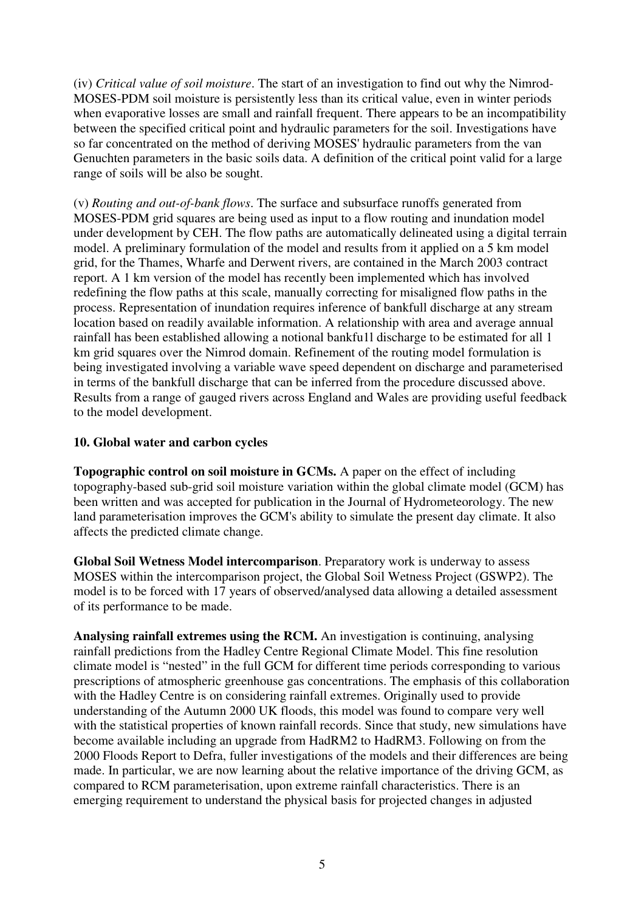(iv) *Critical value of soil moisture*. The start of an investigation to find out why the Nimrod-MOSES-PDM soil moisture is persistently less than its critical value, even in winter periods when evaporative losses are small and rainfall frequent. There appears to be an incompatibility between the specified critical point and hydraulic parameters for the soil. Investigations have so far concentrated on the method of deriving MOSES' hydraulic parameters from the van Genuchten parameters in the basic soils data. A definition of the critical point valid for a large range of soils will be also be sought.

(v) *Routing and out-of-bank flows*. The surface and subsurface runoffs generated from MOSES-PDM grid squares are being used as input to a flow routing and inundation model under development by CEH. The flow paths are automatically delineated using a digital terrain model. A preliminary formulation of the model and results from it applied on a 5 km model grid, for the Thames, Wharfe and Derwent rivers, are contained in the March 2003 contract report. A 1 km version of the model has recently been implemented which has involved redefining the flow paths at this scale, manually correcting for misaligned flow paths in the process. Representation of inundation requires inference of bankfull discharge at any stream location based on readily available information. A relationship with area and average annual rainfall has been established allowing a notional bankfu1l discharge to be estimated for all 1 km grid squares over the Nimrod domain. Refinement of the routing model formulation is being investigated involving a variable wave speed dependent on discharge and parameterised in terms of the bankfull discharge that can be inferred from the procedure discussed above. Results from a range of gauged rivers across England and Wales are providing useful feedback to the model development.

#### **10. Global water and carbon cycles**

**Topographic control on soil moisture in GCMs.** A paper on the effect of including topography-based sub-grid soil moisture variation within the global climate model (GCM) has been written and was accepted for publication in the Journal of Hydrometeorology. The new land parameterisation improves the GCM's ability to simulate the present day climate. It also affects the predicted climate change.

**Global Soil Wetness Model intercomparison**. Preparatory work is underway to assess MOSES within the intercomparison project, the Global Soil Wetness Project (GSWP2). The model is to be forced with 17 years of observed/analysed data allowing a detailed assessment of its performance to be made.

**Analysing rainfall extremes using the RCM.** An investigation is continuing, analysing rainfall predictions from the Hadley Centre Regional Climate Model. This fine resolution climate model is "nested" in the full GCM for different time periods corresponding to various prescriptions of atmospheric greenhouse gas concentrations. The emphasis of this collaboration with the Hadley Centre is on considering rainfall extremes. Originally used to provide understanding of the Autumn 2000 UK floods, this model was found to compare very well with the statistical properties of known rainfall records. Since that study, new simulations have become available including an upgrade from HadRM2 to HadRM3. Following on from the 2000 Floods Report to Defra, fuller investigations of the models and their differences are being made. In particular, we are now learning about the relative importance of the driving GCM, as compared to RCM parameterisation, upon extreme rainfall characteristics. There is an emerging requirement to understand the physical basis for projected changes in adjusted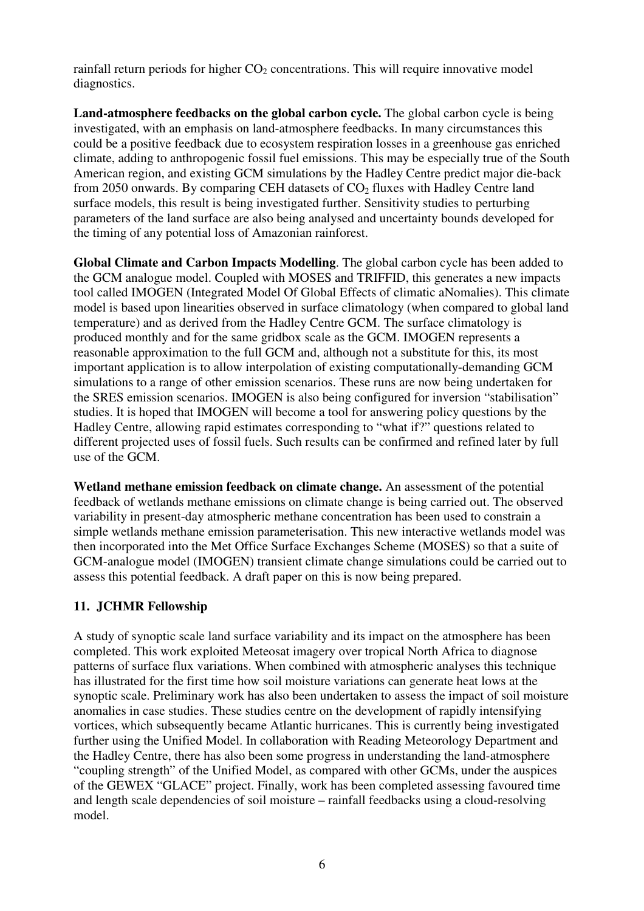rainfall return periods for higher  $CO<sub>2</sub>$  concentrations. This will require innovative model diagnostics.

**Land-atmosphere feedbacks on the global carbon cycle.** The global carbon cycle is being investigated, with an emphasis on land-atmosphere feedbacks. In many circumstances this could be a positive feedback due to ecosystem respiration losses in a greenhouse gas enriched climate, adding to anthropogenic fossil fuel emissions. This may be especially true of the South American region, and existing GCM simulations by the Hadley Centre predict major die-back from 2050 onwards. By comparing CEH datasets of  $CO<sub>2</sub>$  fluxes with Hadley Centre land surface models, this result is being investigated further. Sensitivity studies to perturbing parameters of the land surface are also being analysed and uncertainty bounds developed for the timing of any potential loss of Amazonian rainforest.

**Global Climate and Carbon Impacts Modelling**. The global carbon cycle has been added to the GCM analogue model. Coupled with MOSES and TRIFFID, this generates a new impacts tool called IMOGEN (Integrated Model Of Global Effects of climatic aNomalies). This climate model is based upon linearities observed in surface climatology (when compared to global land temperature) and as derived from the Hadley Centre GCM. The surface climatology is produced monthly and for the same gridbox scale as the GCM. IMOGEN represents a reasonable approximation to the full GCM and, although not a substitute for this, its most important application is to allow interpolation of existing computationally-demanding GCM simulations to a range of other emission scenarios. These runs are now being undertaken for the SRES emission scenarios. IMOGEN is also being configured for inversion "stabilisation" studies. It is hoped that IMOGEN will become a tool for answering policy questions by the Hadley Centre, allowing rapid estimates corresponding to "what if?" questions related to different projected uses of fossil fuels. Such results can be confirmed and refined later by full use of the GCM.

**Wetland methane emission feedback on climate change.** An assessment of the potential feedback of wetlands methane emissions on climate change is being carried out. The observed variability in present-day atmospheric methane concentration has been used to constrain a simple wetlands methane emission parameterisation. This new interactive wetlands model was then incorporated into the Met Office Surface Exchanges Scheme (MOSES) so that a suite of GCM-analogue model (IMOGEN) transient climate change simulations could be carried out to assess this potential feedback. A draft paper on this is now being prepared.

## **11. JCHMR Fellowship**

A study of synoptic scale land surface variability and its impact on the atmosphere has been completed. This work exploited Meteosat imagery over tropical North Africa to diagnose patterns of surface flux variations. When combined with atmospheric analyses this technique has illustrated for the first time how soil moisture variations can generate heat lows at the synoptic scale. Preliminary work has also been undertaken to assess the impact of soil moisture anomalies in case studies. These studies centre on the development of rapidly intensifying vortices, which subsequently became Atlantic hurricanes. This is currently being investigated further using the Unified Model. In collaboration with Reading Meteorology Department and the Hadley Centre, there has also been some progress in understanding the land-atmosphere "coupling strength" of the Unified Model, as compared with other GCMs, under the auspices of the GEWEX "GLACE" project. Finally, work has been completed assessing favoured time and length scale dependencies of soil moisture – rainfall feedbacks using a cloud-resolving model.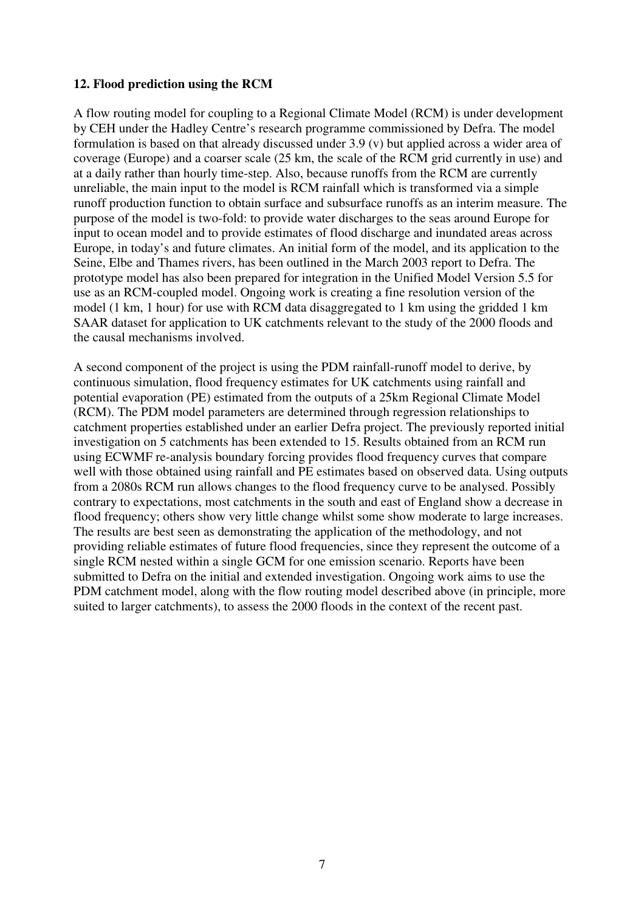#### **12. Flood prediction using the RCM**

A flow routing model for coupling to a Regional Climate Model (RCM) is under development by CEH under the Hadley Centre's research programme commissioned by Defra. The model formulation is based on that already discussed under 3.9 (v) but applied across a wider area of coverage (Europe) and a coarser scale (25 km, the scale of the RCM grid currently in use) and at a daily rather than hourly time-step. Also, because runoffs from the RCM are currently unreliable, the main input to the model is RCM rainfall which is transformed via a simple runoff production function to obtain surface and subsurface runoffs as an interim measure. The purpose of the model is two-fold: to provide water discharges to the seas around Europe for input to ocean model and to provide estimates of flood discharge and inundated areas across Europe, in today's and future climates. An initial form of the model, and its application to the Seine, Elbe and Thames rivers, has been outlined in the March 2003 report to Defra. The prototype model has also been prepared for integration in the Unified Model Version 5.5 for use as an RCM-coupled model. Ongoing work is creating a fine resolution version of the model (1 km, 1 hour) for use with RCM data disaggregated to 1 km using the gridded 1 km SAAR dataset for application to UK catchments relevant to the study of the 2000 floods and the causal mechanisms involved.

A second component of the project is using the PDM rainfall-runoff model to derive, by continuous simulation, flood frequency estimates for UK catchments using rainfall and potential evaporation (PE) estimated from the outputs of a 25km Regional Climate Model (RCM). The PDM model parameters are determined through regression relationships to catchment properties established under an earlier Defra project. The previously reported initial investigation on 5 catchments has been extended to 15. Results obtained from an RCM run using ECWMF re-analysis boundary forcing provides flood frequency curves that compare well with those obtained using rainfall and PE estimates based on observed data. Using outputs from a 2080s RCM run allows changes to the flood frequency curve to be analysed. Possibly contrary to expectations, most catchments in the south and east of England show a decrease in flood frequency; others show very little change whilst some show moderate to large increases. The results are best seen as demonstrating the application of the methodology, and not providing reliable estimates of future flood frequencies, since they represent the outcome of a single RCM nested within a single GCM for one emission scenario. Reports have been submitted to Defra on the initial and extended investigation. Ongoing work aims to use the PDM catchment model, along with the flow routing model described above (in principle, more suited to larger catchments), to assess the 2000 floods in the context of the recent past.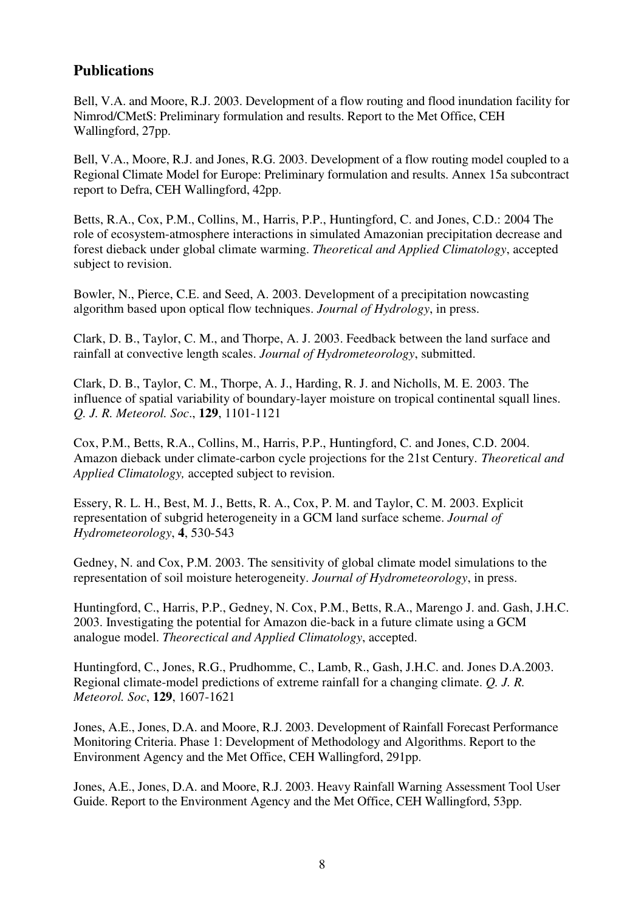## **Publications**

Bell, V.A. and Moore, R.J. 2003. Development of a flow routing and flood inundation facility for Nimrod/CMetS: Preliminary formulation and results. Report to the Met Office, CEH Wallingford, 27pp.

Bell, V.A., Moore, R.J. and Jones, R.G. 2003. Development of a flow routing model coupled to a Regional Climate Model for Europe: Preliminary formulation and results. Annex 15a subcontract report to Defra, CEH Wallingford, 42pp.

Betts, R.A., Cox, P.M., Collins, M., Harris, P.P., Huntingford, C. and Jones, C.D.: 2004 The role of ecosystem-atmosphere interactions in simulated Amazonian precipitation decrease and forest dieback under global climate warming. *Theoretical and Applied Climatology*, accepted subject to revision.

Bowler, N., Pierce, C.E. and Seed, A. 2003. Development of a precipitation nowcasting algorithm based upon optical flow techniques. *Journal of Hydrology*, in press.

Clark, D. B., Taylor, C. M., and Thorpe, A. J. 2003. Feedback between the land surface and rainfall at convective length scales. *Journal of Hydrometeorology*, submitted.

Clark, D. B., Taylor, C. M., Thorpe, A. J., Harding, R. J. and Nicholls, M. E. 2003. The influence of spatial variability of boundary-layer moisture on tropical continental squall lines. *Q. J. R. Meteorol. Soc*., **129**, 1101-1121

Cox, P.M., Betts, R.A., Collins, M., Harris, P.P., Huntingford, C. and Jones, C.D. 2004. Amazon dieback under climate-carbon cycle projections for the 21st Century. *Theoretical and Applied Climatology,* accepted subject to revision.

Essery, R. L. H., Best, M. J., Betts, R. A., Cox, P. M. and Taylor, C. M. 2003. Explicit representation of subgrid heterogeneity in a GCM land surface scheme. *Journal of Hydrometeorology*, **4**, 530-543

Gedney, N. and Cox, P.M. 2003. The sensitivity of global climate model simulations to the representation of soil moisture heterogeneity. *Journal of Hydrometeorology*, in press.

Huntingford, C., Harris, P.P., Gedney, N. Cox, P.M., Betts, R.A., Marengo J. and. Gash, J.H.C. 2003. Investigating the potential for Amazon die-back in a future climate using a GCM analogue model. *Theorectical and Applied Climatology*, accepted.

Huntingford, C., Jones, R.G., Prudhomme, C., Lamb, R., Gash, J.H.C. and. Jones D.A.2003. Regional climate-model predictions of extreme rainfall for a changing climate. *Q. J. R. Meteorol. Soc*, **129**, 1607-1621

Jones, A.E., Jones, D.A. and Moore, R.J. 2003. Development of Rainfall Forecast Performance Monitoring Criteria. Phase 1: Development of Methodology and Algorithms. Report to the Environment Agency and the Met Office, CEH Wallingford, 291pp.

Jones, A.E., Jones, D.A. and Moore, R.J. 2003. Heavy Rainfall Warning Assessment Tool User Guide. Report to the Environment Agency and the Met Office, CEH Wallingford, 53pp.